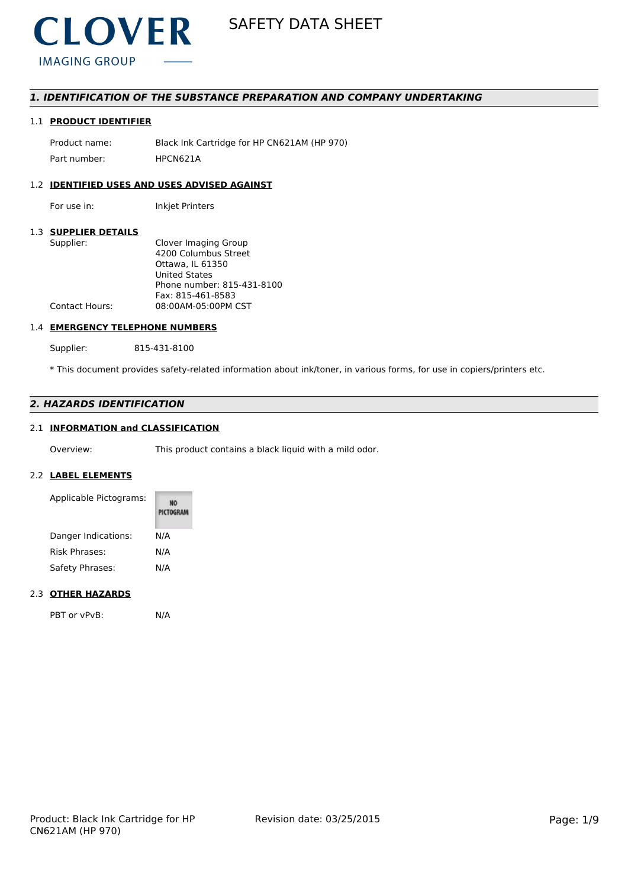

# *1. IDENTIFICATION OF THE SUBSTANCE PREPARATION AND COMPANY UNDERTAKING*

# 1.1 **PRODUCT IDENTIFIER**

Product name: Black Ink Cartridge for HP CN621AM (HP 970) Part number: HPCN621A

# 1.2 **IDENTIFIED USES AND USES ADVISED AGAINST**

For use in: Inkjet Printers

# 1.3 **SUPPLIER DETAILS**

| Supplier:             | Clover Imaging Group       |
|-----------------------|----------------------------|
|                       | 4200 Columbus Street       |
|                       | Ottawa. IL 61350           |
|                       | <b>United States</b>       |
|                       | Phone number: 815-431-8100 |
|                       | Fax: 815-461-8583          |
| <b>Contact Hours:</b> | 08:00AM-05:00PM CST        |
|                       |                            |

# 1.4 **EMERGENCY TELEPHONE NUMBERS**

Supplier: 815-431-8100

\* This document provides safety-related information about ink/toner, in various forms, for use in copiers/printers etc.

# *2. HAZARDS IDENTIFICATION*

# 2.1 **INFORMATION and CLASSIFICATION**

Overview: This product contains a black liquid with a mild odor.

### 2.2 **LABEL ELEMENTS**

| Applicable Pictograms: | PICTOGRAM |
|------------------------|-----------|
| Danger Indications:    | N/A       |
| <b>Risk Phrases:</b>   | N/A       |
| Safety Phrases:        | N/A       |

### 2.3 **OTHER HAZARDS**

PBT or vPvB: N/A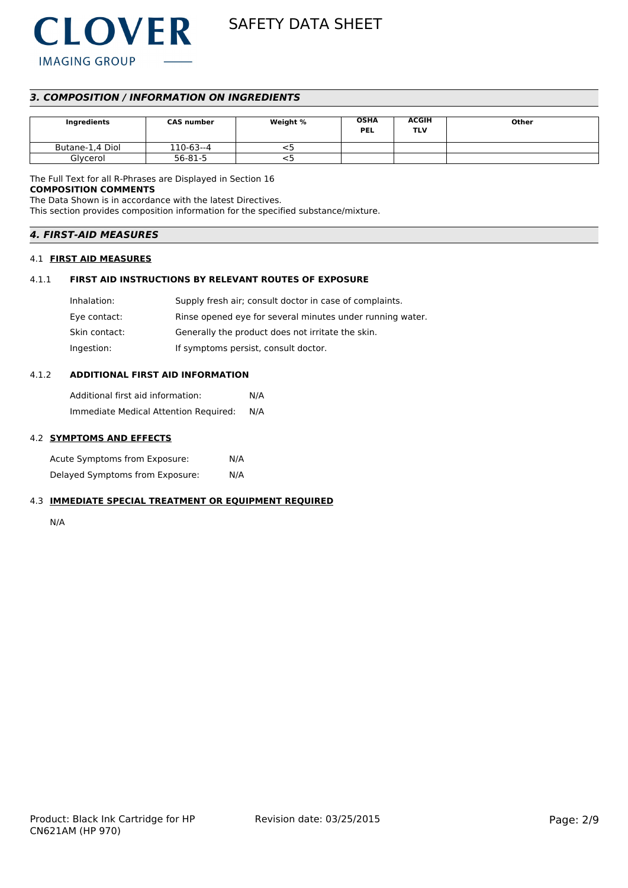

# *3. COMPOSITION / INFORMATION ON INGREDIENTS*

| Ingredients     | <b>CAS number</b> | Weight % | <b>OSHA</b><br><b>PEL</b> | <b>ACGIH</b><br>TLV | Other |
|-----------------|-------------------|----------|---------------------------|---------------------|-------|
| Butane-1,4 Diol | 110-63--4         | ╮        |                           |                     |       |
| Glycerol        | 56-81-5           | ر -      |                           |                     |       |

The Full Text for all R-Phrases are Displayed in Section 16 **COMPOSITION COMMENTS**

The Data Shown is in accordance with the latest Directives.

This section provides composition information for the specified substance/mixture.

# *4. FIRST-AID MEASURES*

# 4.1 **FIRST AID MEASURES**

# 4.1.1 **FIRST AID INSTRUCTIONS BY RELEVANT ROUTES OF EXPOSURE**

| Inhalation:   | Supply fresh air; consult doctor in case of complaints.   |
|---------------|-----------------------------------------------------------|
| Eye contact:  | Rinse opened eye for several minutes under running water. |
| Skin contact: | Generally the product does not irritate the skin.         |
| Ingestion:    | If symptoms persist, consult doctor.                      |

# 4.1.2 **ADDITIONAL FIRST AID INFORMATION**

Additional first aid information: N/A Immediate Medical Attention Required: N/A

# 4.2 **SYMPTOMS AND EFFECTS**

Acute Symptoms from Exposure: N/A Delayed Symptoms from Exposure: N/A

# 4.3 **IMMEDIATE SPECIAL TREATMENT OR EQUIPMENT REQUIRED**

N/A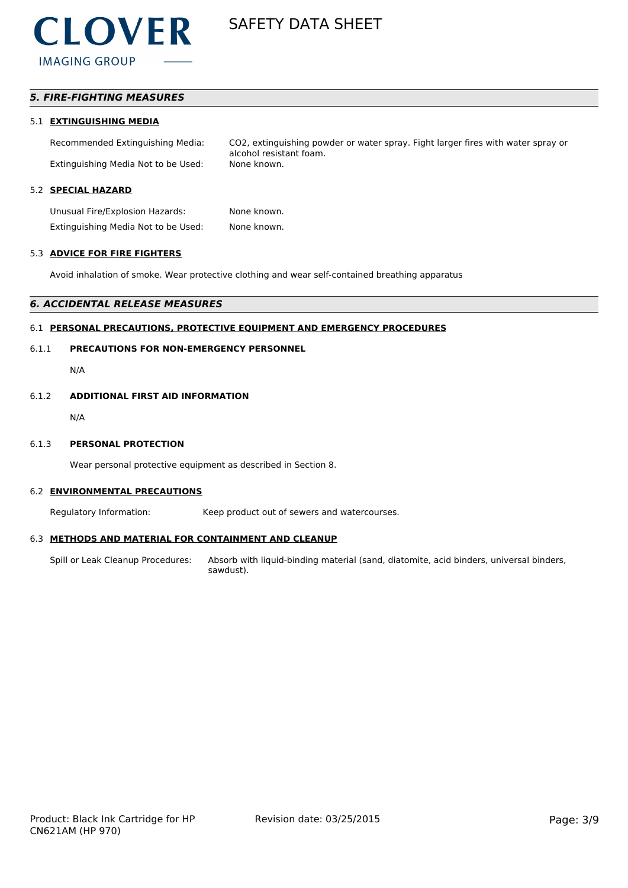

# *5. FIRE-FIGHTING MEASURES*

#### 5.1 **EXTINGUISHING MEDIA**

Recommended Extinguishing Media: CO2, extinguishing powder or water spray. Fight larger fires with water spray or alcohol resistant foam. Extinguishing Media Not to be Used: None known.

# 5.2 **SPECIAL HAZARD**

Unusual Fire/Explosion Hazards: None known. Extinguishing Media Not to be Used: None known.

# 5.3 **ADVICE FOR FIRE FIGHTERS**

Avoid inhalation of smoke. Wear protective clothing and wear self-contained breathing apparatus

#### *6. ACCIDENTAL RELEASE MEASURES*

#### 6.1 **PERSONAL PRECAUTIONS, PROTECTIVE EQUIPMENT AND EMERGENCY PROCEDURES**

### 6.1.1 **PRECAUTIONS FOR NON-EMERGENCY PERSONNEL**

N/A

#### 6.1.2 **ADDITIONAL FIRST AID INFORMATION**

N/A

#### 6.1.3 **PERSONAL PROTECTION**

Wear personal protective equipment as described in Section 8.

#### 6.2 **ENVIRONMENTAL PRECAUTIONS**

Regulatory Information: Keep product out of sewers and watercourses.

#### 6.3 **METHODS AND MATERIAL FOR CONTAINMENT AND CLEANUP**

Spill or Leak Cleanup Procedures: Absorb with liquid-binding material (sand, diatomite, acid binders, universal binders, sawdust).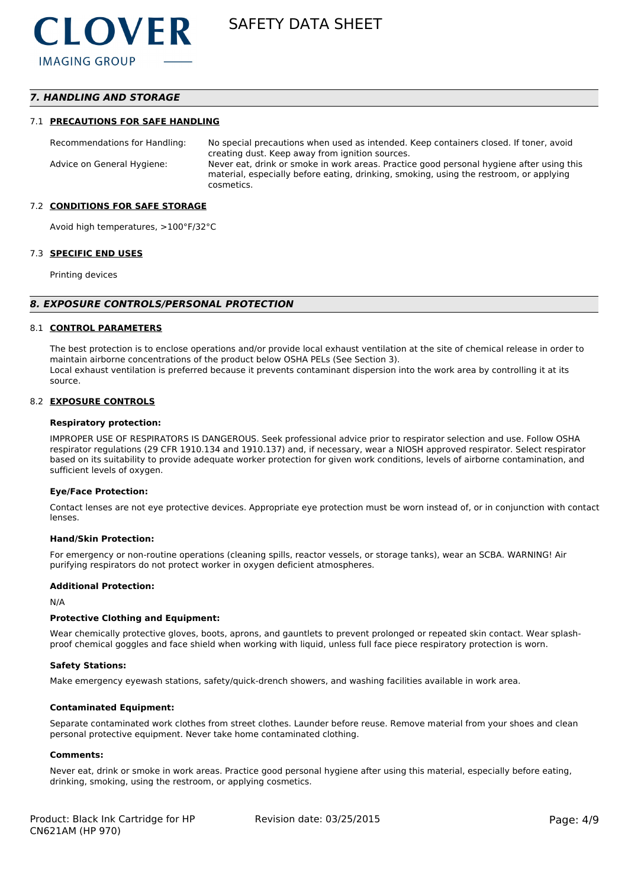# *7. HANDLING AND STORAGE*

#### 7.1 **PRECAUTIONS FOR SAFE HANDLING**

Recommendations for Handling: No special precautions when used as intended. Keep containers closed. If toner, avoid creating dust. Keep away from ignition sources. Advice on General Hygiene: Never eat, drink or smoke in work areas. Practice good personal hygiene after using this material, especially before eating, drinking, smoking, using the restroom, or applying cosmetics.

#### 7.2 **CONDITIONS FOR SAFE STORAGE**

Avoid high temperatures, >100°F/32°C

#### 7.3 **SPECIFIC END USES**

Printing devices

#### *8. EXPOSURE CONTROLS/PERSONAL PROTECTION*

#### 8.1 **CONTROL PARAMETERS**

The best protection is to enclose operations and/or provide local exhaust ventilation at the site of chemical release in order to maintain airborne concentrations of the product below OSHA PELs (See Section 3). Local exhaust ventilation is preferred because it prevents contaminant dispersion into the work area by controlling it at its source.

#### 8.2 **EXPOSURE CONTROLS**

#### **Respiratory protection:**

IMPROPER USE OF RESPIRATORS IS DANGEROUS. Seek professional advice prior to respirator selection and use. Follow OSHA respirator regulations (29 CFR 1910.134 and 1910.137) and, if necessary, wear a NIOSH approved respirator. Select respirator based on its suitability to provide adequate worker protection for given work conditions, levels of airborne contamination, and sufficient levels of oxygen.

#### **Eye/Face Protection:**

Contact lenses are not eye protective devices. Appropriate eye protection must be worn instead of, or in conjunction with contact lenses.

#### **Hand/Skin Protection:**

For emergency or non-routine operations (cleaning spills, reactor vessels, or storage tanks), wear an SCBA. WARNING! Air purifying respirators do not protect worker in oxygen deficient atmospheres.

#### **Additional Protection:**

N/A

#### **Protective Clothing and Equipment:**

Wear chemically protective gloves, boots, aprons, and gauntlets to prevent prolonged or repeated skin contact. Wear splashproof chemical goggles and face shield when working with liquid, unless full face piece respiratory protection is worn.

#### **Safety Stations:**

Make emergency eyewash stations, safety/quick-drench showers, and washing facilities available in work area.

#### **Contaminated Equipment:**

Separate contaminated work clothes from street clothes. Launder before reuse. Remove material from your shoes and clean personal protective equipment. Never take home contaminated clothing.

#### **Comments:**

Never eat, drink or smoke in work areas. Practice good personal hygiene after using this material, especially before eating, drinking, smoking, using the restroom, or applying cosmetics.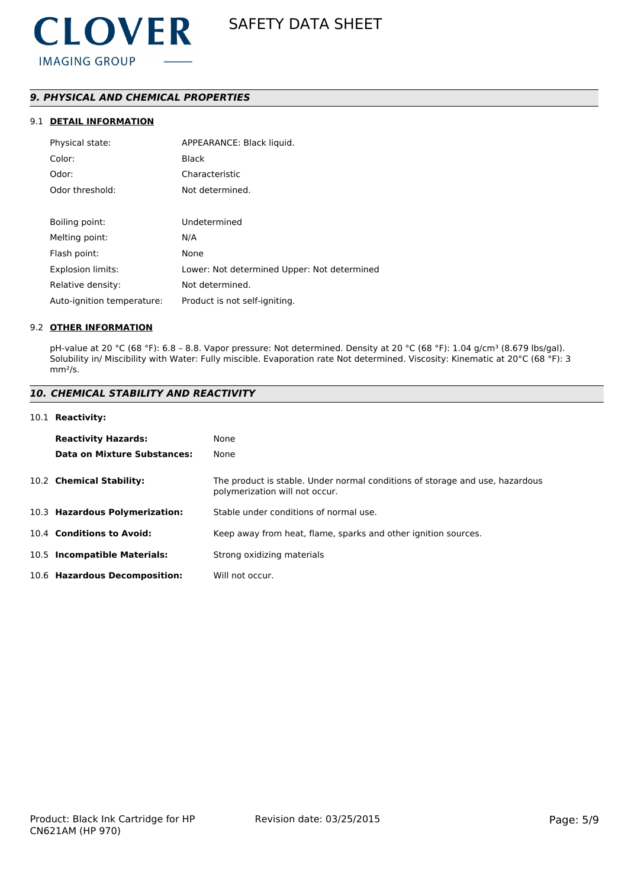# *9. PHYSICAL AND CHEMICAL PROPERTIES*

# 9.1 **DETAIL INFORMATION**

| Physical state:            | APPEARANCE: Black liquid.                   |
|----------------------------|---------------------------------------------|
| Color:                     | <b>Black</b>                                |
| Odor:                      | Characteristic                              |
| Odor threshold:            | Not determined.                             |
|                            |                                             |
| Boiling point:             | Undetermined                                |
| Melting point:             | N/A                                         |
| Flash point:               | None                                        |
| <b>Explosion limits:</b>   | Lower: Not determined Upper: Not determined |
| Relative density:          | Not determined.                             |
| Auto-ignition temperature: | Product is not self-igniting.               |

### 9.2 **OTHER INFORMATION**

pH-value at 20 °C (68 °F): 6.8 - 8.8. Vapor pressure: Not determined. Density at 20 °C (68 °F): 1.04 g/cm<sup>3</sup> (8.679 lbs/gal). Solubility in/ Miscibility with Water: Fully miscible. Evaporation rate Not determined. Viscosity: Kinematic at 20°C (68 °F): 3 mm²/s.

# *10. CHEMICAL STABILITY AND REACTIVITY*

#### 10.1 **Reactivity:**

| <b>Reactivity Hazards:</b>     | None                                                                                                           |
|--------------------------------|----------------------------------------------------------------------------------------------------------------|
| Data on Mixture Substances:    | None                                                                                                           |
| 10.2 Chemical Stability:       | The product is stable. Under normal conditions of storage and use, hazardous<br>polymerization will not occur. |
| 10.3 Hazardous Polymerization: | Stable under conditions of normal use.                                                                         |
| 10.4 Conditions to Avoid:      | Keep away from heat, flame, sparks and other ignition sources.                                                 |
| 10.5 Incompatible Materials:   | Strong oxidizing materials                                                                                     |
| 10.6 Hazardous Decomposition:  | Will not occur.                                                                                                |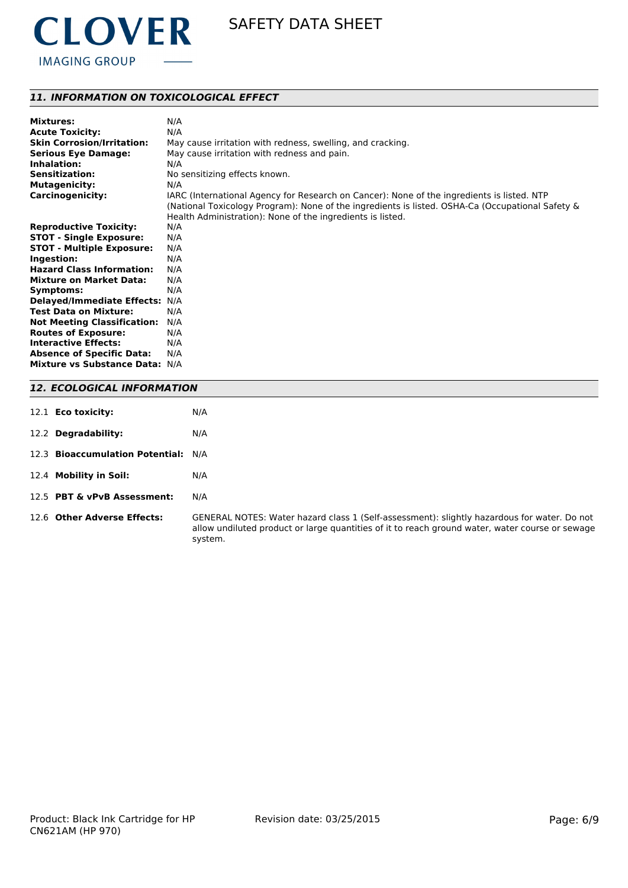

# *11. INFORMATION ON TOXICOLOGICAL EFFECT*

| <b>Mixtures:</b>                   | N/A                                                                                              |
|------------------------------------|--------------------------------------------------------------------------------------------------|
| <b>Acute Toxicity:</b>             | N/A                                                                                              |
| <b>Skin Corrosion/Irritation:</b>  | May cause irritation with redness, swelling, and cracking.                                       |
| <b>Serious Eye Damage:</b>         | May cause irritation with redness and pain.                                                      |
| Inhalation:                        | N/A                                                                                              |
| <b>Sensitization:</b>              | No sensitizing effects known.                                                                    |
| <b>Mutagenicity:</b>               | N/A                                                                                              |
| Carcinogenicity:                   | IARC (International Agency for Research on Cancer): None of the ingredients is listed. NTP       |
|                                    | (National Toxicology Program): None of the ingredients is listed. OSHA-Ca (Occupational Safety & |
|                                    | Health Administration): None of the ingredients is listed.                                       |
| <b>Reproductive Toxicity:</b>      | N/A                                                                                              |
| <b>STOT - Single Exposure:</b>     | N/A                                                                                              |
| <b>STOT - Multiple Exposure:</b>   | N/A                                                                                              |
| Ingestion:                         | N/A                                                                                              |
| <b>Hazard Class Information:</b>   | N/A                                                                                              |
| <b>Mixture on Market Data:</b>     | N/A                                                                                              |
| Symptoms:                          | N/A                                                                                              |
| Delayed/Immediate Effects: N/A     |                                                                                                  |
| <b>Test Data on Mixture:</b>       | N/A                                                                                              |
| <b>Not Meeting Classification:</b> | N/A                                                                                              |
| <b>Routes of Exposure:</b>         | N/A                                                                                              |
| <b>Interactive Effects:</b>        | N/A                                                                                              |
| <b>Absence of Specific Data:</b>   | N/A                                                                                              |
| Mixture vs Substance Data: N/A     |                                                                                                  |
|                                    |                                                                                                  |

# *12. ECOLOGICAL INFORMATION*

| 12.1 <b>Eco toxicity:</b>       | N/A                   |
|---------------------------------|-----------------------|
| 12.2 Degradability:             | N/A                   |
| 12.3 Bioaccumulation Potential: | N/A                   |
| 12.4 Mobility in Soil:          | N/A                   |
| 12.5 PBT & vPvB Assessment:     | N/A                   |
| 12.6 Other Adverse Effects:     | GENERAI<br>allow undi |

NOTES: Water hazard class 1 (Self-assessment): slightly hazardous for water. Do not iluted product or large quantities of it to reach ground water, water course or sewage system.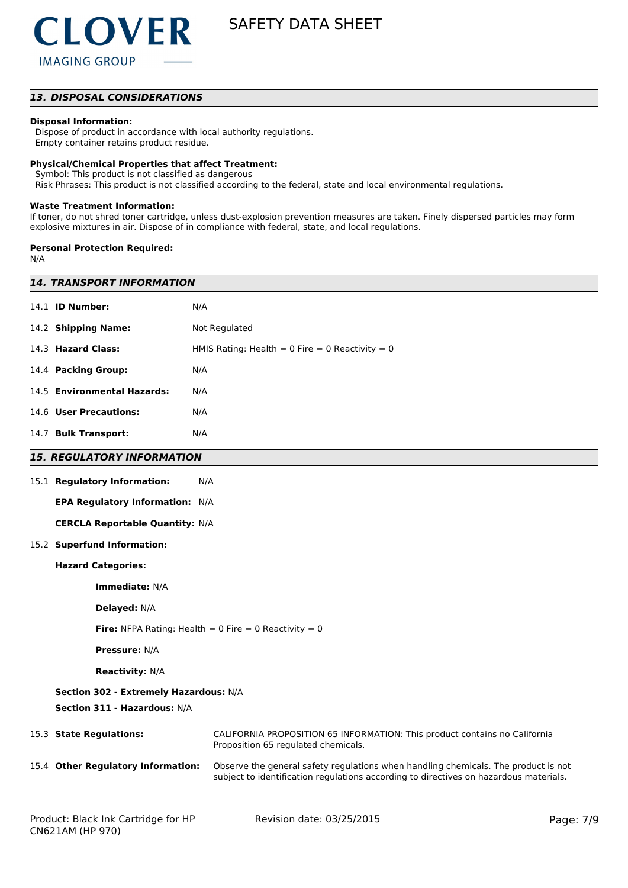

# *13. DISPOSAL CONSIDERATIONS*

### **Disposal Information:**

 Dispose of product in accordance with local authority regulations. Empty container retains product residue.

#### **Physical/Chemical Properties that affect Treatment:**

Symbol: This product is not classified as dangerous

Risk Phrases: This product is not classified according to the federal, state and local environmental regulations.

#### **Waste Treatment Information:**

If toner, do not shred toner cartridge, unless dust-explosion prevention measures are taken. Finely dispersed particles may form explosive mixtures in air. Dispose of in compliance with federal, state, and local regulations.

#### **Personal Protection Required:**

N/A

| <i><b>14. TRANSPORT INFORMATION</b></i>                                |                                                                                                                                                                             |  |  |
|------------------------------------------------------------------------|-----------------------------------------------------------------------------------------------------------------------------------------------------------------------------|--|--|
| 14.1 <b>ID Number:</b>                                                 | N/A                                                                                                                                                                         |  |  |
| 14.2 Shipping Name:                                                    | Not Regulated                                                                                                                                                               |  |  |
| 14.3 Hazard Class:                                                     | HMIS Rating: Health = $0$ Fire = $0$ Reactivity = $0$                                                                                                                       |  |  |
| 14.4 Packing Group:                                                    | N/A                                                                                                                                                                         |  |  |
| 14.5 Environmental Hazards:                                            | N/A                                                                                                                                                                         |  |  |
| 14.6 User Precautions:                                                 | N/A                                                                                                                                                                         |  |  |
| 14.7 Bulk Transport:                                                   | N/A                                                                                                                                                                         |  |  |
| <b>15. REGULATORY INFORMATION</b>                                      |                                                                                                                                                                             |  |  |
| 15.1 Regulatory Information:                                           | N/A                                                                                                                                                                         |  |  |
| EPA Regulatory Information: N/A                                        |                                                                                                                                                                             |  |  |
| <b>CERCLA Reportable Quantity: N/A</b>                                 |                                                                                                                                                                             |  |  |
| 15.2 Superfund Information:                                            |                                                                                                                                                                             |  |  |
| <b>Hazard Categories:</b>                                              |                                                                                                                                                                             |  |  |
| Immediate: N/A                                                         |                                                                                                                                                                             |  |  |
| Delayed: N/A                                                           |                                                                                                                                                                             |  |  |
| <b>Fire:</b> NFPA Rating: Health = 0 Fire = 0 Reactivity = 0           |                                                                                                                                                                             |  |  |
| <b>Pressure: N/A</b>                                                   |                                                                                                                                                                             |  |  |
| <b>Reactivity: N/A</b>                                                 |                                                                                                                                                                             |  |  |
| Section 302 - Extremely Hazardous: N/A<br>Section 311 - Hazardous: N/A |                                                                                                                                                                             |  |  |
| 15.3 State Regulations:                                                | CALIFORNIA PROPOSITION 65 INFORMATION: This product contains no California<br>Proposition 65 regulated chemicals.                                                           |  |  |
| 15.4 Other Regulatory Information:                                     | Observe the general safety regulations when handling chemicals. The product is not<br>subject to identification regulations according to directives on hazardous materials. |  |  |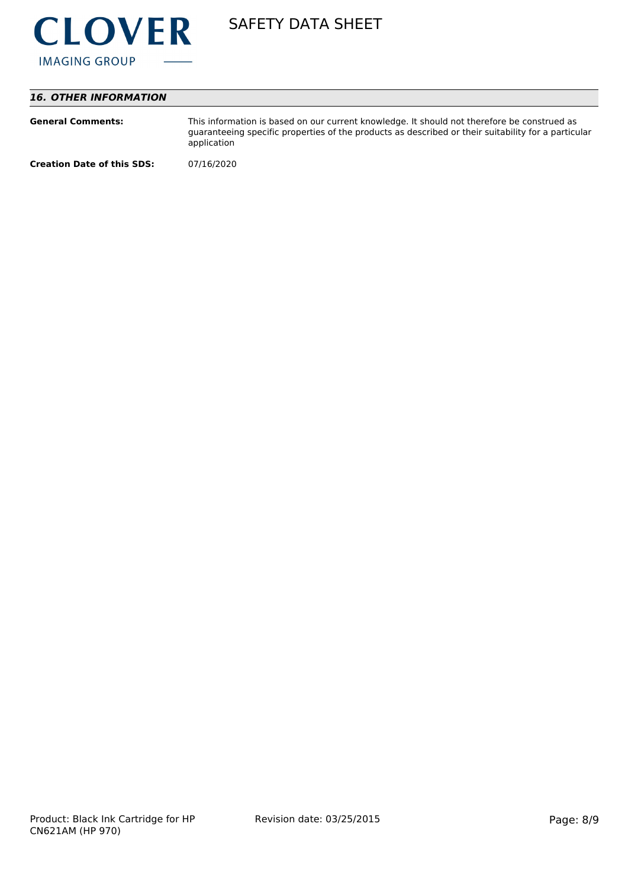

# *16. OTHER INFORMATION*

| <b>General Comments:</b>          | This information is based on our current knowledge. It should not therefore be construed as<br>guaranteeing specific properties of the products as described or their suitability for a particular<br>application |
|-----------------------------------|-------------------------------------------------------------------------------------------------------------------------------------------------------------------------------------------------------------------|
| <b>Creation Date of this SDS:</b> | 07/16/2020                                                                                                                                                                                                        |